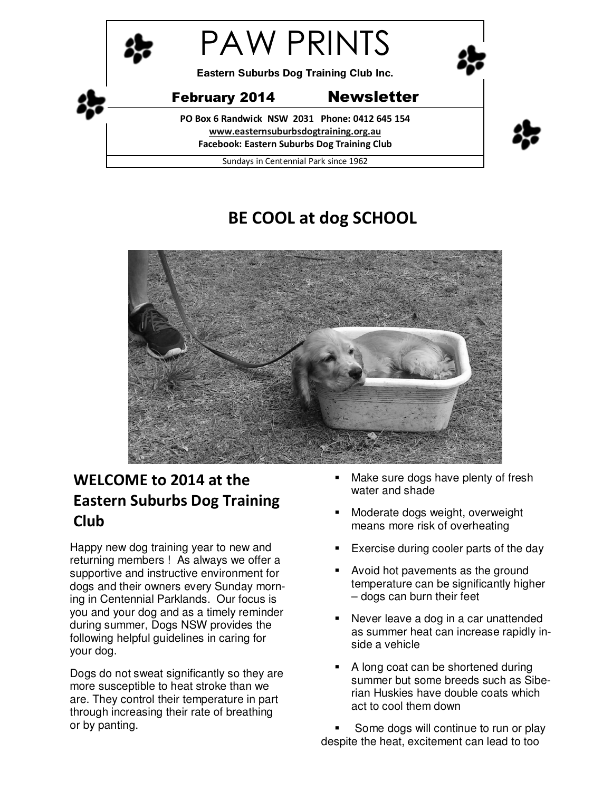

# **BE COOL at dog SCHOOL**



# **WELCOME to 2014 at the Eastern Suburbs Dog Training Club**

Happy new dog training year to new and returning members ! As always we offer a supportive and instructive environment for dogs and their owners every Sunday morning in Centennial Parklands. Our focus is you and your dog and as a timely reminder during summer, Dogs NSW provides the following helpful guidelines in caring for your dog.

Dogs do not sweat significantly so they are more susceptible to heat stroke than we are. They control their temperature in part through increasing their rate of breathing or by panting.

- Make sure dogs have plenty of fresh water and shade
- Moderate dogs weight, overweight means more risk of overheating
- **Exercise during cooler parts of the day**
- Avoid hot pavements as the ground temperature can be significantly higher – dogs can burn their feet
- Never leave a dog in a car unattended as summer heat can increase rapidly inside a vehicle
- A long coat can be shortened during summer but some breeds such as Siberian Huskies have double coats which act to cool them down

 Some dogs will continue to run or play despite the heat, excitement can lead to too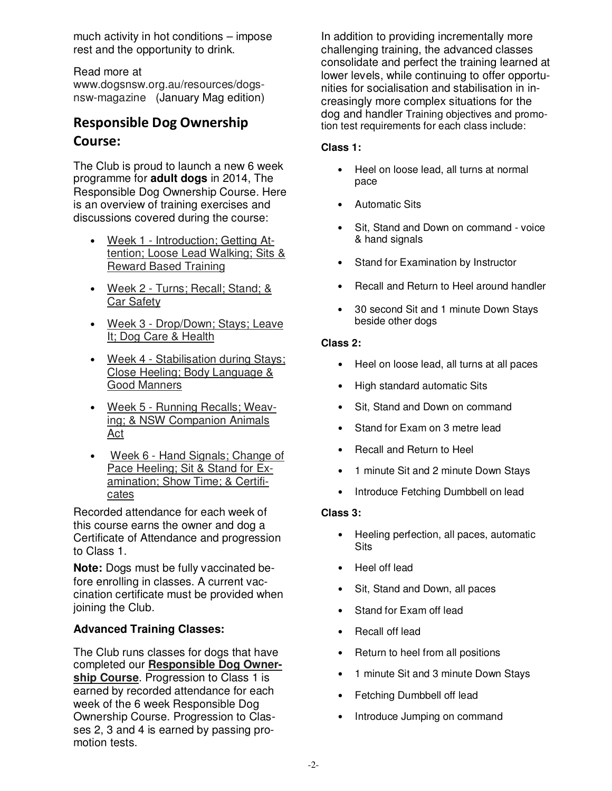much activity in hot conditions – impose rest and the opportunity to drink.

Read more at

www.dogsnsw.org.au/resources/dogsnsw-magazine (January Mag edition)

# **Responsible Dog Ownership Course:**

The Club is proud to launch a new 6 week programme for **adult dogs** in 2014, The Responsible Dog Ownership Course. Here is an overview of training exercises and discussions covered during the course:

- Week 1 Introduction; Getting Attention; Loose Lead Walking; Sits & Reward Based Training
- Week 2 Turns; Recall; Stand; & Car Safety
- Week 3 Drop/Down; Stays; Leave It; Dog Care & Health
- Week 4 Stabilisation during Stays; Close Heeling; Body Language & Good Manners
- Week 5 Running Recalls; Weaving; & NSW Companion Animals Act
- Week 6 Hand Signals; Change of Pace Heeling; Sit & Stand for Examination; Show Time; & Certificates

Recorded attendance for each week of this course earns the owner and dog a Certificate of Attendance and progression to Class 1.

**Note:** Dogs must be fully vaccinated before enrolling in classes. A current vaccination certificate must be provided when joining the Club.

## **Advanced Training Classes:**

The Club runs classes for dogs that have completed our **Responsible Dog Ownership Course**. Progression to Class 1 is earned by recorded attendance for each week of the 6 week Responsible Dog Ownership Course. Progression to Classes 2, 3 and 4 is earned by passing promotion tests.

In addition to providing incrementally more challenging training, the advanced classes consolidate and perfect the training learned at lower levels, while continuing to offer opportunities for socialisation and stabilisation in increasingly more complex situations for the dog and handler Training objectives and promotion test requirements for each class include:

### **Class 1:**

- Heel on loose lead, all turns at normal pace
- Automatic Sits
- Sit, Stand and Down on command voice & hand signals
- Stand for Examination by Instructor
- Recall and Return to Heel around handler
- 30 second Sit and 1 minute Down Stays beside other dogs

#### **Class 2:**

- Heel on loose lead, all turns at all paces
- High standard automatic Sits
- Sit, Stand and Down on command
- Stand for Exam on 3 metre lead
- Recall and Return to Heel
- 1 minute Sit and 2 minute Down Stays
- Introduce Fetching Dumbbell on lead

#### **Class 3:**

- Heeling perfection, all paces, automatic Sits
- Heel off lead
- Sit, Stand and Down, all paces
- Stand for Exam off lead
- Recall off lead
- Return to heel from all positions
- 1 minute Sit and 3 minute Down Stays
- Fetching Dumbbell off lead
- Introduce Jumping on command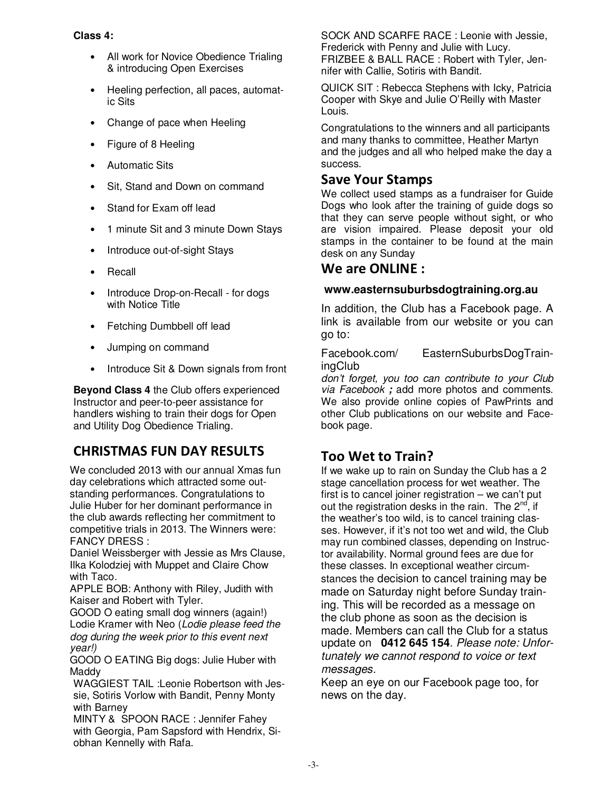#### **Class 4:**

- All work for Novice Obedience Trialing & introducing Open Exercises
- Heeling perfection, all paces, automatic Sits
- Change of pace when Heeling
- Figure of 8 Heeling
- Automatic Sits
- Sit, Stand and Down on command
- Stand for Exam off lead
- 1 minute Sit and 3 minute Down Stays
- Introduce out-of-sight Stays
- Recall
- Introduce Drop-on-Recall for dogs with Notice Title
- Fetching Dumbbell off lead
- Jumping on command
- Introduce Sit & Down signals from front

**Beyond Class 4** the Club offers experienced Instructor and peer-to-peer assistance for handlers wishing to train their dogs for Open and Utility Dog Obedience Trialing.

# **CHRISTMAS FUN DAY RESULTS**

We concluded 2013 with our annual Xmas fun day celebrations which attracted some outstanding performances. Congratulations to Julie Huber for her dominant performance in the club awards reflecting her commitment to competitive trials in 2013. The Winners were: FANCY DRESS :

Daniel Weissberger with Jessie as Mrs Clause, Ilka Kolodziej with Muppet and Claire Chow with Taco.

APPLE BOB: Anthony with Riley, Judith with Kaiser and Robert with Tyler.

GOOD O eating small dog winners (again!) Lodie Kramer with Neo (*Lodie please feed the dog during the week prior to this event next year!)* 

GOOD O EATING Big dogs: Julie Huber with Maddy

WAGGIEST TAIL :Leonie Robertson with Jessie, Sotiris Vorlow with Bandit, Penny Monty with Barney

MINTY & SPOON RACE : Jennifer Fahey with Georgia, Pam Sapsford with Hendrix, Siobhan Kennelly with Rafa.

SOCK AND SCARFE RACE : Leonie with Jessie, Frederick with Penny and Julie with Lucy. FRIZBEE & BALL RACE : Robert with Tyler, Jennifer with Callie, Sotiris with Bandit.

QUICK SIT : Rebecca Stephens with Icky, Patricia Cooper with Skye and Julie O'Reilly with Master Louis.

Congratulations to the winners and all participants and many thanks to committee, Heather Martyn and the judges and all who helped make the day a success.

## **Save Your Stamps**

We collect used stamps as a fundraiser for Guide Dogs who look after the training of guide dogs so that they can serve people without sight, or who are vision impaired. Please deposit your old stamps in the container to be found at the main desk on any Sunday

## **We are ONLINE :**

### **www.easternsuburbsdogtraining.org.au**

In addition, the Club has a Facebook page. A link is available from our website or you can go to:

Facebook.com/ EasternSuburbsDogTrainingClub

*don't forget, you too can contribute to your Club via Facebook* **;** add more photos and comments. We also provide online copies of PawPrints and other Club publications on our website and Facebook page.

# **Too Wet to Train?**

If we wake up to rain on Sunday the Club has a 2 stage cancellation process for wet weather. The first is to cancel joiner registration – we can't put out the registration desks in the rain. The  $2^{nd}$ , if the weather's too wild, is to cancel training classes. However, if it's not too wet and wild, the Club may run combined classes, depending on Instructor availability. Normal ground fees are due for these classes. In exceptional weather circumstances the decision to cancel training may be made on Saturday night before Sunday training. This will be recorded as a message on the club phone as soon as the decision is made. Members can call the Club for a status update on **0412 645 154**. *Please note: Unfortunately we cannot respond to voice or text messages.* 

Keep an eye on our Facebook page too, for news on the day.